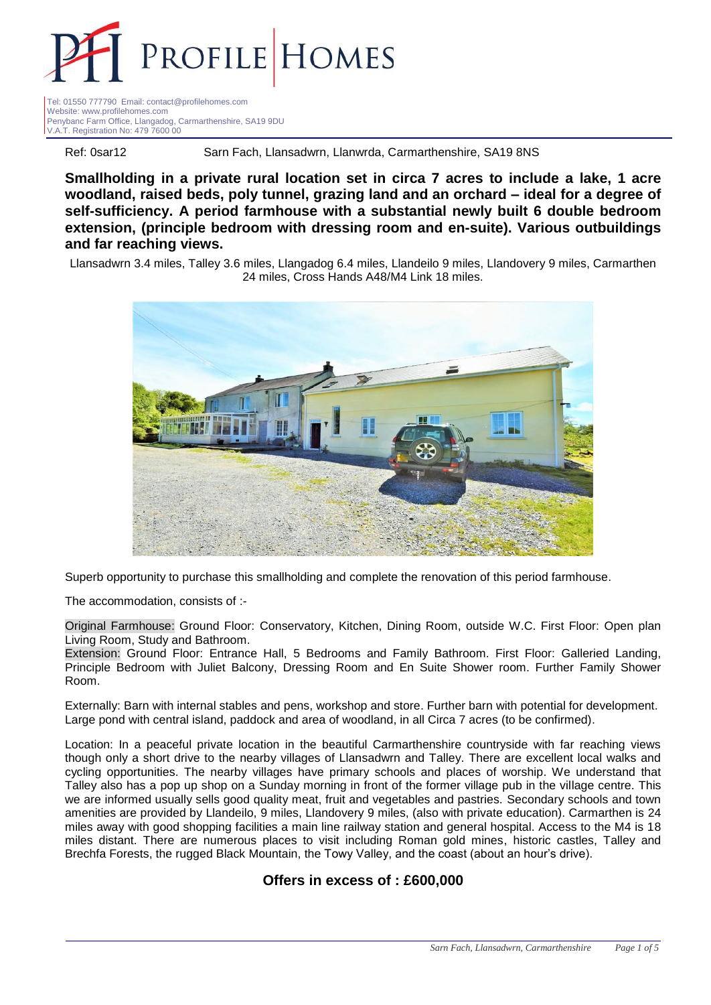

Tel: 01550 777790 Email: contact@profilehomes.com Website: www.profilehomes.com Penybanc Farm Office, Llangadog, Carmarthenshire, SA19 9DU V.A.T. Registration No: 479 7600 00

Ref: 0sar12 Sarn Fach, Llansadwrn, Llanwrda, Carmarthenshire, SA19 8NS

**Smallholding in a private rural location set in circa 7 acres to include a lake, 1 acre woodland, raised beds, poly tunnel, grazing land and an orchard – ideal for a degree of self-sufficiency. A period farmhouse with a substantial newly built 6 double bedroom extension, (principle bedroom with dressing room and en-suite). Various outbuildings and far reaching views.**

Llansadwrn 3.4 miles, Talley 3.6 miles, Llangadog 6.4 miles, Llandeilo 9 miles, Llandovery 9 miles, Carmarthen 24 miles, Cross Hands A48/M4 Link 18 miles.



Superb opportunity to purchase this smallholding and complete the renovation of this period farmhouse.

The accommodation, consists of :-

Original Farmhouse: Ground Floor: Conservatory, Kitchen, Dining Room, outside W.C. First Floor: Open plan Living Room, Study and Bathroom.

Extension: Ground Floor: Entrance Hall, 5 Bedrooms and Family Bathroom. First Floor: Galleried Landing, Principle Bedroom with Juliet Balcony, Dressing Room and En Suite Shower room. Further Family Shower Room.

Externally: Barn with internal stables and pens, workshop and store. Further barn with potential for development. Large pond with central island, paddock and area of woodland, in all Circa 7 acres (to be confirmed).

Location: In a peaceful private location in the beautiful Carmarthenshire countryside with far reaching views though only a short drive to the nearby villages of Llansadwrn and Talley. There are excellent local walks and cycling opportunities. The nearby villages have primary schools and places of worship. We understand that Talley also has a pop up shop on a Sunday morning in front of the former village pub in the village centre. This we are informed usually sells good quality meat, fruit and vegetables and pastries. Secondary schools and town amenities are provided by Llandeilo, 9 miles, Llandovery 9 miles, (also with private education). Carmarthen is 24 miles away with good shopping facilities a main line railway station and general hospital. Access to the M4 is 18 miles distant. There are numerous places to visit including Roman gold mines, historic castles, Talley and Brechfa Forests, the rugged Black Mountain, the Towy Valley, and the coast (about an hour's drive).

**Offers in excess of : £600,000**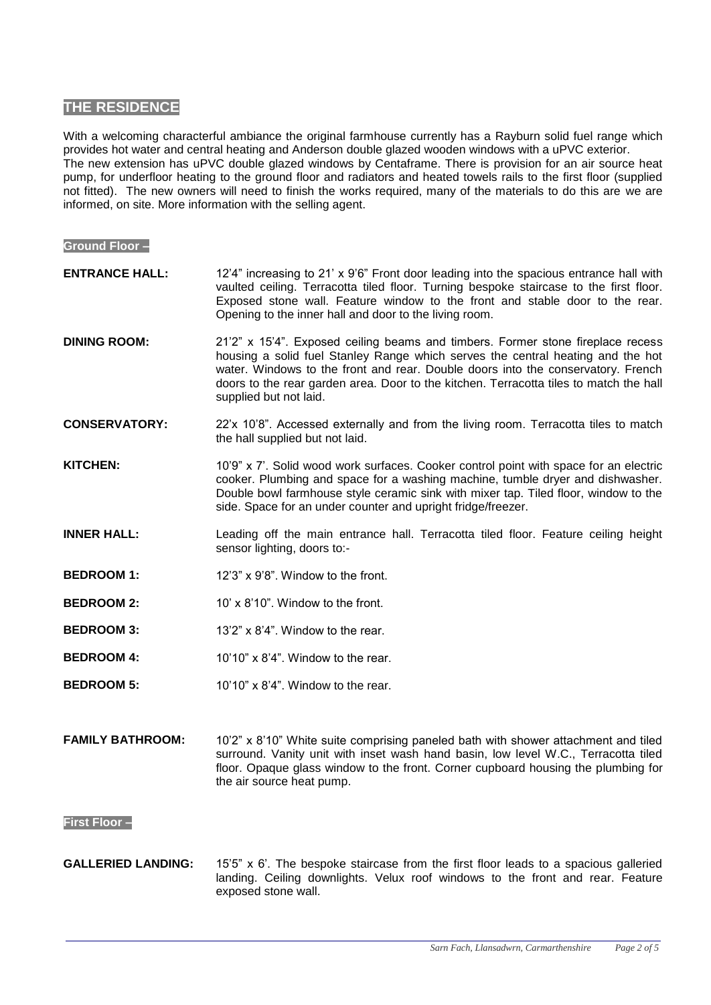# **THE RESIDENCE**

With a welcoming characterful ambiance the original farmhouse currently has a Rayburn solid fuel range which provides hot water and central heating and Anderson double glazed wooden windows with a uPVC exterior. The new extension has uPVC double glazed windows by Centaframe. There is provision for an air source heat pump, for underfloor heating to the ground floor and radiators and heated towels rails to the first floor (supplied not fitted). The new owners will need to finish the works required, many of the materials to do this are we are informed, on site. More information with the selling agent.

# **Ground Floor – ENTRANCE HALL: DINING ROOM: CONSERVATORY: KITCHEN: INNER HALL: BEDROOM 1: BEDROOM 2:** 12'4" increasing to 21' x 9'6" Front door leading into the spacious entrance hall with vaulted ceiling. Terracotta tiled floor. Turning bespoke staircase to the first floor. Exposed stone wall. Feature window to the front and stable door to the rear. Opening to the inner hall and door to the living room. 21'2" x 15'4". Exposed ceiling beams and timbers. Former stone fireplace recess housing a solid fuel Stanley Range which serves the central heating and the hot water. Windows to the front and rear. Double doors into the conservatory. French doors to the rear garden area. Door to the kitchen. Terracotta tiles to match the hall supplied but not laid. 22'x 10'8". Accessed externally and from the living room. Terracotta tiles to match the hall supplied but not laid. 10'9" x 7'. Solid wood work surfaces. Cooker control point with space for an electric cooker. Plumbing and space for a washing machine, tumble dryer and dishwasher. Double bowl farmhouse style ceramic sink with mixer tap. Tiled floor, window to the side. Space for an under counter and upright fridge/freezer. Leading off the main entrance hall. Terracotta tiled floor. Feature ceiling height sensor lighting, doors to:- 12'3" x 9'8". Window to the front. 10' x 8'10". Window to the front.

- **BEDROOM 3:** 13'2" x 8'4". Window to the rear.
- **BEDROOM 4:** 10'10" x 8'4". Window to the rear.
- **BEDROOM 5:** 10'10" x 8'4". Window to the rear.

#### **FAMILY BATHROOM:** 10'2" x 8'10" White suite comprising paneled bath with shower attachment and tiled surround. Vanity unit with inset wash hand basin, low level W.C., Terracotta tiled floor. Opaque glass window to the front. Corner cupboard housing the plumbing for the air source heat pump.

### **First Floor –**

**GALLERIED LANDING:** 15'5" x 6'. The bespoke staircase from the first floor leads to a spacious galleried landing. Ceiling downlights. Velux roof windows to the front and rear. Feature exposed stone wall.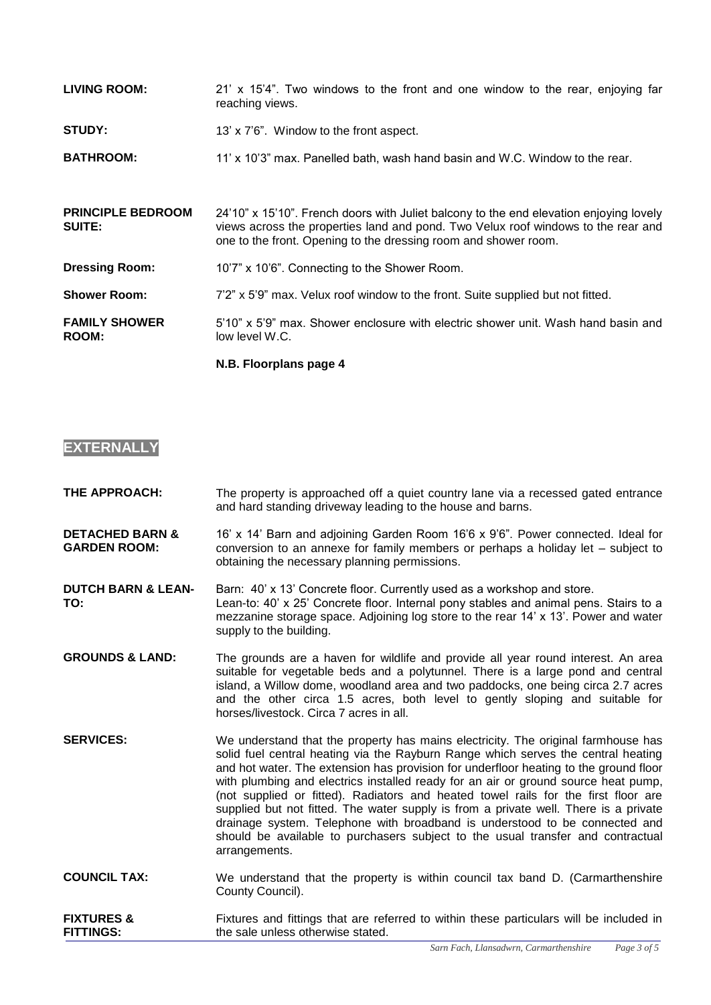| <b>LIVING ROOM:</b>                       | 21' x 15'4". Two windows to the front and one window to the rear, enjoying far<br>reaching views.                                                                                                                                              |
|-------------------------------------------|------------------------------------------------------------------------------------------------------------------------------------------------------------------------------------------------------------------------------------------------|
| <b>STUDY:</b>                             | 13' x 7'6". Window to the front aspect.                                                                                                                                                                                                        |
| <b>BATHROOM:</b>                          | 11' x 10'3" max. Panelled bath, wash hand basin and W.C. Window to the rear.                                                                                                                                                                   |
|                                           |                                                                                                                                                                                                                                                |
| <b>PRINCIPLE BEDROOM</b><br><b>SUITE:</b> | 24'10" x 15'10". French doors with Juliet balcony to the end elevation enjoying lovely<br>views across the properties land and pond. Two Velux roof windows to the rear and<br>one to the front. Opening to the dressing room and shower room. |
| <b>Dressing Room:</b>                     | 10'7" x 10'6". Connecting to the Shower Room.                                                                                                                                                                                                  |
| <b>Shower Room:</b>                       | 7'2" x 5'9" max. Velux roof window to the front. Suite supplied but not fitted.                                                                                                                                                                |
| <b>FAMILY SHOWER</b><br><b>ROOM:</b>      | 5'10" x 5'9" max. Shower enclosure with electric shower unit. Wash hand basin and<br>low level W.C.                                                                                                                                            |
|                                           | N.B. Floorplans page 4                                                                                                                                                                                                                         |

# **EXTERNALLY**

**THE APPROACH:** The property is approached off a quiet country lane via a recessed gated entrance and hard standing driveway leading to the house and barns.

**DETACHED BARN & GARDEN ROOM:** 16' x 14' Barn and adjoining Garden Room 16'6 x 9'6". Power connected. Ideal for conversion to an annexe for family members or perhaps a holiday let – subject to obtaining the necessary planning permissions.

**DUTCH BARN & LEAN-TO:** Barn: 40' x 13' Concrete floor. Currently used as a workshop and store. Lean-to: 40' x 25' Concrete floor. Internal pony stables and animal pens. Stairs to a mezzanine storage space. Adjoining log store to the rear 14' x 13'. Power and water supply to the building.

- **GROUNDS & LAND:** The grounds are a haven for wildlife and provide all year round interest. An area suitable for vegetable beds and a polytunnel. There is a large pond and central island, a Willow dome, woodland area and two paddocks, one being circa 2.7 acres and the other circa 1.5 acres, both level to gently sloping and suitable for horses/livestock. Circa 7 acres in all.
- **SERVICES:** We understand that the property has mains electricity. The original farmhouse has solid fuel central heating via the Rayburn Range which serves the central heating and hot water. The extension has provision for underfloor heating to the ground floor with plumbing and electrics installed ready for an air or ground source heat pump, (not supplied or fitted). Radiators and heated towel rails for the first floor are supplied but not fitted. The water supply is from a private well. There is a private drainage system. Telephone with broadband is understood to be connected and should be available to purchasers subject to the usual transfer and contractual arrangements.
- **COUNCIL TAX:** We understand that the property is within council tax band D. (Carmarthenshire County Council).

**FIXTURES & FITTINGS:** Fixtures and fittings that are referred to within these particulars will be included in the sale unless otherwise stated.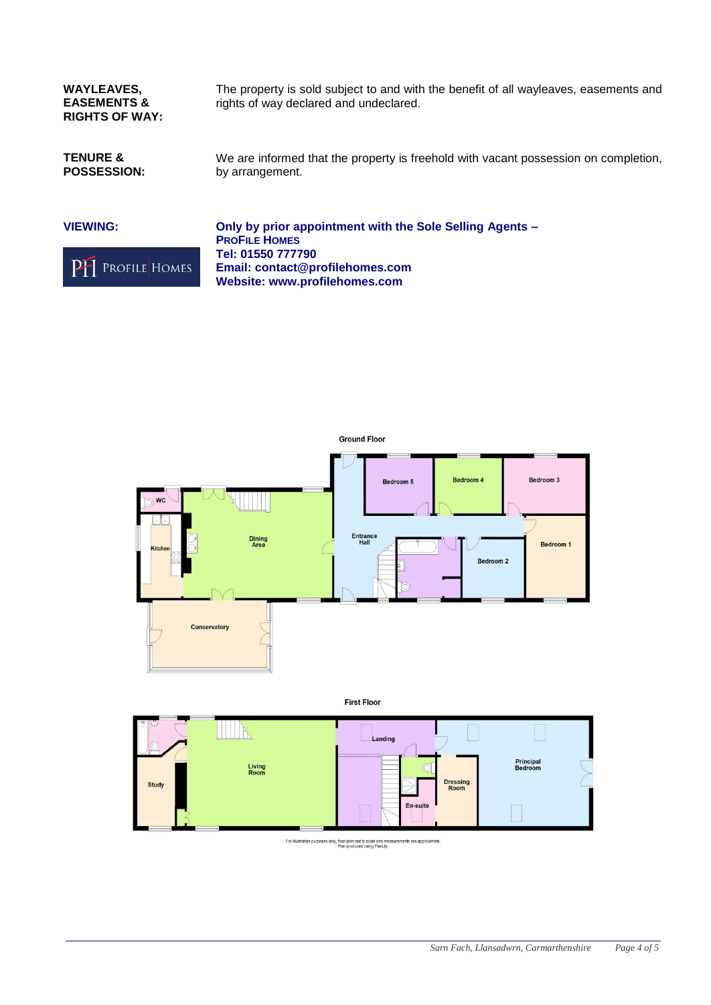**WAYLEAVES, EASEMENTS & RIGHTS OF WAY:** The property is sold subject to and with the benefit of all wayleaves, easements and rights of way declared and undeclared.

**TENURE & POSSESSION:** We are informed that the property is freehold with vacant possession on completion, by arrangement.







For illustration purposes only, floor-plan not to scale and measurements are approximately